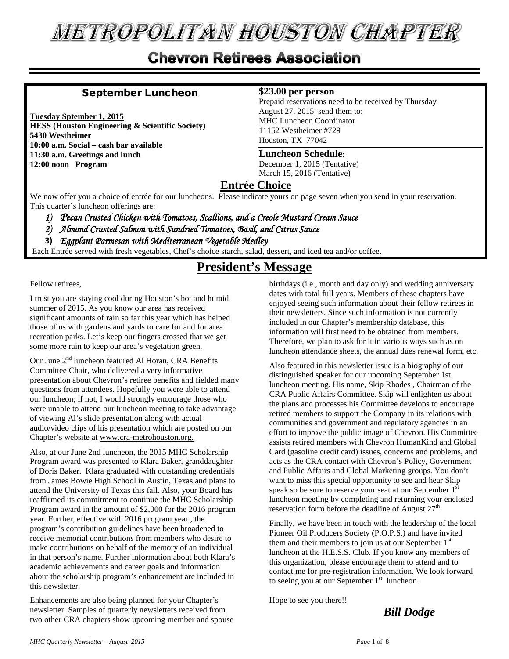# **METROPOLITAN HOUSTON CHAPTER**

## **Chevron Retirees Association**

#### September Luncheon

**Tuesday Sptember 1, 2015 HESS (Houston Engineering & Scientific Society) 5430 Westheimer 10:00 a.m. Social – cash bar available 11:30 a.m. Greetings and lunch 12:00 noon Program**

#### **\$23.00 per person**

Prepaid reservations need to be received by Thursday August 27, 2015 send them to: MHC Luncheon Coordinator 11152 Westheimer #729 Houston, TX 77042

#### **Luncheon Schedule:**

December 1, 2015 (Tentative) March 15, 2016 (Tentative)

#### **Entrée Choice**

We now offer you a choice of entrée for our luncheons. Please indicate yours on page seven when you send in your reservation. This quarter's luncheon offerings are:

- *1) Pecan Crusted Chicken with Tomatoes, Scallions, and a Creole Mustard Cream Sauce*
- *2) Almond Crusted Salmon with Sundried Tomatoes, Basil, and Citrus Sauce*
- **3)** *Eggplant Parmesan with Mediterranean Vegetable Medley*

Each Entrée served with fresh vegetables, Chef's choice starch, salad, dessert, and iced tea and/or coffee.

### **President's Message**

Fellow retirees,

I trust you are staying cool during Houston's hot and humid summer of 2015. As you know our area has received significant amounts of rain so far this year which has helped those of us with gardens and yards to care for and for area recreation parks. Let's keep our fingers crossed that we get some more rain to keep our area's vegetation green.

Our June 2<sup>nd</sup> luncheon featured Al Horan, CRA Benefits Committee Chair, who delivered a very informative presentation about Chevron's retiree benefits and fielded many questions from attendees. Hopefully you were able to attend our luncheon; if not, I would strongly encourage those who were unable to attend our luncheon meeting to take advantage of viewing Al's slide presentation along with actual audio/video clips of his presentation which are posted on our Chapter's website at www.cra-metrohouston.org.

Also, at our June 2nd luncheon, the 2015 MHC Scholarship Program award was presented to Klara Baker, granddaughter of Doris Baker. Klara graduated with outstanding credentials from James Bowie High School in Austin, Texas and plans to attend the University of Texas this fall. Also, your Board has reaffirmed its commitment to continue the MHC Scholarship Program award in the amount of \$2,000 for the 2016 program year. Further, effective with 2016 program year , the program's contribution guidelines have been broadened to receive memorial contributions from members who desire to make contributions on behalf of the memory of an individual in that person's name. Further information about both Klara's academic achievements and career goals and information about the scholarship program's enhancement are included in this newsletter.

Enhancements are also being planned for your Chapter's newsletter. Samples of quarterly newsletters received from two other CRA chapters show upcoming member and spouse birthdays (i.e., month and day only) and wedding anniversary dates with total full years. Members of these chapters have enjoyed seeing such information about their fellow retirees in their newsletters. Since such information is not currently included in our Chapter's membership database, this information will first need to be obtained from members. Therefore, we plan to ask for it in various ways such as on luncheon attendance sheets, the annual dues renewal form, etc.

Also featured in this newsletter issue is a biography of our distinguished speaker for our upcoming September 1st luncheon meeting. His name, Skip Rhodes , Chairman of the CRA Public Affairs Committee. Skip will enlighten us about the plans and processes his Committee develops to encourage retired members to support the Company in its relations with communities and government and regulatory agencies in an effort to improve the public image of Chevron. His Committee assists retired members with Chevron HumanKind and Global Card (gasoline credit card) issues, concerns and problems, and acts as the CRA contact with Chevron's Policy, Government and Public Affairs and Global Marketing groups. You don't want to miss this special opportunity to see and hear Skip speak so be sure to reserve your seat at our September 1st luncheon meeting by completing and returning your enclosed reservation form before the deadline of August  $27<sup>th</sup>$ .

Finally, we have been in touch with the leadership of the local Pioneer Oil Producers Society (P.O.P.S.) and have invited them and their members to join us at our September  $1<sup>st</sup>$ luncheon at the H.E.S.S. Club. If you know any members of this organization, please encourage them to attend and to contact me for pre-registration information. We look forward to seeing you at our September  $1<sup>st</sup>$  luncheon.

Hope to see you there!!

*Bill Dodge*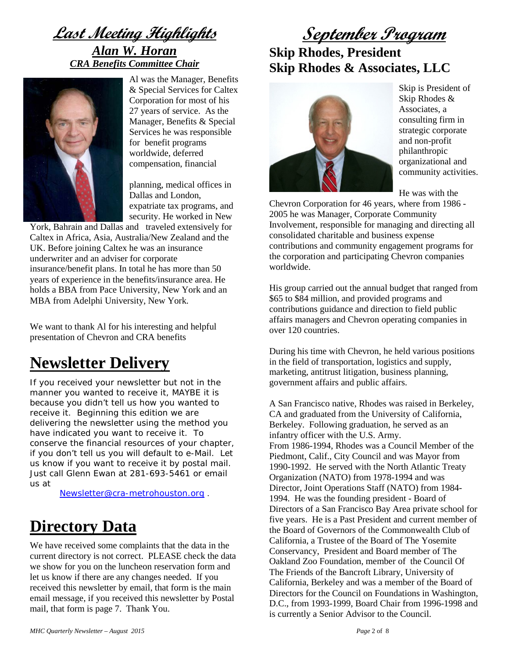**Last Meeting Highlights** *Alan W. Horan CRA Benefits Committee Chair*



Al was the Manager, Benefits & Special Services for Caltex Corporation for most of his 27 years of service. As the Manager, Benefits & Special Services he was responsible for benefit programs worldwide, deferred compensation, financial

planning, medical offices in Dallas and London, expatriate tax programs, and security. He worked in New

York, Bahrain and Dallas and traveled extensively for Caltex in Africa, Asia, Australia/New Zealand and the UK. Before joining Caltex he was an insurance underwriter and an adviser for corporate insurance/benefit plans. In total he has more than 50 years of experience in the benefits/insurance area. He holds a BBA from Pace University, New York and an MBA from Adelphi University, New York.

We want to thank Al for his interesting and helpful presentation of Chevron and CRA benefits

## **Newsletter Delivery**

If you received your newsletter but not in the manner you wanted to receive it, MAYBE it is because you didn't tell us how you wanted to receive it. Beginning this edition we are delivering the newsletter using the method you have indicated you want to receive it. To conserve the financial resources of your chapter, if you don't tell us you will default to e-Mail. Let us know if you want to receive it by postal mail. Just call Glenn Ewan at 281-693-5461 or email us at

[Newsletter@cra-metrohouston.org](mailto:Newsletter@cra-metrohouston.org) .

## **Directory Data**

We have received some complaints that the data in the current directory is not correct. PLEASE check the data we show for you on the luncheon reservation form and let us know if there are any changes needed. If you received this newsletter by email, that form is the main email message, if you received this newsletter by Postal mail, that form is page 7. Thank You.

## **September Program Skip Rhodes, President Skip Rhodes & Associates, LLC**



Skip is President of Skip Rhodes & Associates, a consulting firm in strategic corporate and non-profit philanthropic organizational and community activities.

He was with the

Chevron Corporation for 46 years, where from 1986 - 2005 he was Manager, Corporate Community Involvement, responsible for managing and directing all consolidated charitable and business expense contributions and community engagement programs for the corporation and participating Chevron companies worldwide.

His group carried out the annual budget that ranged from \$65 to \$84 million, and provided programs and contributions guidance and direction to field public affairs managers and Chevron operating companies in over 120 countries.

During his time with Chevron, he held various positions in the field of transportation, logistics and supply, marketing, antitrust litigation, business planning, government affairs and public affairs.

A San Francisco native, Rhodes was raised in Berkeley, CA and graduated from the University of California, Berkeley. Following graduation, he served as an infantry officer with the U.S. Army. From 1986-1994, Rhodes was a Council Member of the Piedmont, Calif., City Council and was Mayor from 1990-1992. He served with the North Atlantic Treaty Organization (NATO) from 1978-1994 and was Director, Joint Operations Staff (NATO) from 1984- 1994. He was the founding president - Board of Directors of a San Francisco Bay Area private school for five years. He is a Past President and current member of the Board of Governors of the Commonwealth Club of California, a Trustee of the Board of The Yosemite Conservancy, President and Board member of The Oakland Zoo Foundation, member of the Council Of The Friends of the Bancroft Library, University of California, Berkeley and was a member of the Board of Directors for the Council on Foundations in Washington, D.C., from 1993-1999, Board Chair from 1996-1998 and is currently a Senior Advisor to the Council.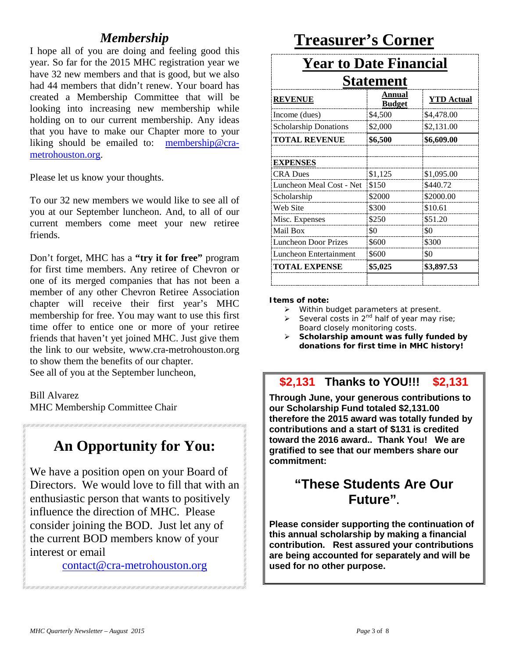### *Membership*

I hope all of you are doing and feeling good this year. So far for the 2015 MHC registration year we have 32 new members and that is good, but we also had 44 members that didn't renew. Your board has created a Membership Committee that will be looking into increasing new membership while holding on to our current membership. Any ideas that you have to make our Chapter more to your liking should be emailed to: [membership@cra](mailto:membership@cra-metrohouston.org)[metrohouston.org.](mailto:membership@cra-metrohouston.org)

Please let us know your thoughts.

To our 32 new members we would like to see all of you at our September luncheon. And, to all of our current members come meet your new retiree friends.

Don't forget, MHC has a **"try it for free"** program for first time members. Any retiree of Chevron or one of its merged companies that has not been a member of any other Chevron Retiree Association chapter will receive their first year's MHC membership for free. You may want to use this first time offer to entice one or more of your retiree friends that haven't yet joined MHC. Just give them the link to our website, www.cra-metrohouston.org to show them the benefits of our chapter. See all of you at the September luncheon,

Bill Alvarez

MHC Membership Committee Chair

## **An Opportunity for You:**

We have a position open on your Board of Directors. We would love to fill that with an enthusiastic person that wants to positively influence the direction of MHC. Please consider joining the BOD. Just let any of the current BOD members know of your interest or email

[contact@cra-metrohouston.org](mailto:contact@cra-metrohouston.org)

## **Treasurer's Corner**

# **Year to Date Financial**

| <b>Statement</b>             |                         |                   |  |
|------------------------------|-------------------------|-------------------|--|
| <b>REVENUE</b>               | Annual<br><b>Budget</b> | <b>YTD Actual</b> |  |
| Income (dues)                | \$4,500                 | \$4,478.00        |  |
| <b>Scholarship Donations</b> | \$2,000                 | \$2,131.00        |  |
| <b>TOTAL REVENUE</b>         | \$6,500                 | \$6,609.00        |  |
| <b>EXPENSES</b>              |                         |                   |  |
| <b>CRA Dues</b>              | \$1,125                 | \$1,095.00        |  |
| Luncheon Meal Cost - Net     | \$150                   | \$440.72          |  |
| Scholarship                  | \$2000                  | \$2000.00         |  |
| Web Site                     | \$300                   | \$10.61           |  |
| Misc. Expenses               | \$250                   | \$51.20           |  |
| Mail Box                     | \$0                     | \$0               |  |
| <b>Luncheon Door Prizes</b>  | \$600                   | \$300             |  |
| Luncheon Entertainment       | \$600                   | \$0               |  |
| <b>TOTAL EXPENSE</b>         | \$5,025                 | \$3,897.53        |  |

#### **Items of note:**

- $\triangleright$  Within budget parameters at present.
- Several costs in  $2^{nd}$  half of year may rise; Board closely monitoring costs.
- **Scholarship amount was fully funded by donations for first time in MHC history!**

#### **\$2,131 Thanks to YOU!!! \$2,131**

**Through June, your generous contributions to our Scholarship Fund totaled \$2,131.00 therefore the 2015 award was totally funded by contributions and a start of \$131 is credited toward the 2016 award.. Thank You! We are gratified to see that our members share our commitment:**

### **"These Students Are Our Future".**

**Please consider supporting the continuation of this annual scholarship by making a financial contribution. Rest assured your contributions are being accounted for separately and will be used for no other purpose.**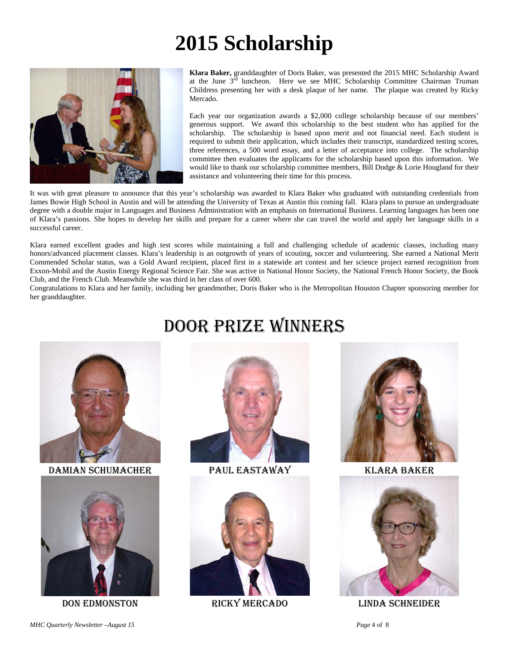# **2015 Scholarship**



**Klara Baker,** granddaughter of Doris Baker, was presented the 2015 MHC Scholarship Award at the June 3rd luncheon. Here we see MHC Scholarship Committee Chairman Truman Childress presenting her with a desk plaque of her name. The plaque was created by Ricky Mercado.

Each year our organization awards a \$2,000 college scholarship because of our members' generous support. We award this scholarship to the best student who has applied for the scholarship. The scholarship is based upon merit and not financial need. Each student is required to submit their application, which includes their transcript, standardized testing scores, three references, a 500 word essay, and a letter of acceptance into college. The scholarship committee then evaluates the applicants for the scholarship based upon this information. We would like to thank our scholarship committee members, Bill Dodge & Lorie Hougland for their assistance and volunteering their time for this process.

It was with great pleasure to announce that this year's scholarship was awarded to Klara Baker who graduated with outstanding credentials from James Bowie High School in Austin and will be attending the University of Texas at Austin this coming fall. Klara plans to pursue an undergraduate degree with a double major in Languages and Business Administration with an emphasis on International Business. Learning languages has been one of Klara's passions. She hopes to develop her skills and prepare for a career where she can travel the world and apply her language skills in a successful career.

Klara earned excellent grades and high test scores while maintaining a full and challenging schedule of academic classes, including many honors/advanced placement classes. Klara's leadership is an outgrowth of years of scouting, soccer and volunteering. She earned a National Merit Commended Scholar status, was a Gold Award recipient, placed first in a statewide art contest and her science project earned recognition from Exxon-Mobil and the Austin Energy Regional Science Fair. She was active in National Honor Society, the National French Honor Society, the Book Club, and the French Club. Meanwhile she was third in her class of over 600.

Congratulations to Klara and her family, including her grandmother, Doris Baker who is the Metropolitan Houston Chapter sponsoring member for her granddaughter.



Damian Schumacher Paul eastaway Klara baker



# Door Prize Winners









Don edmonston Ricky Mercado Linda schneider